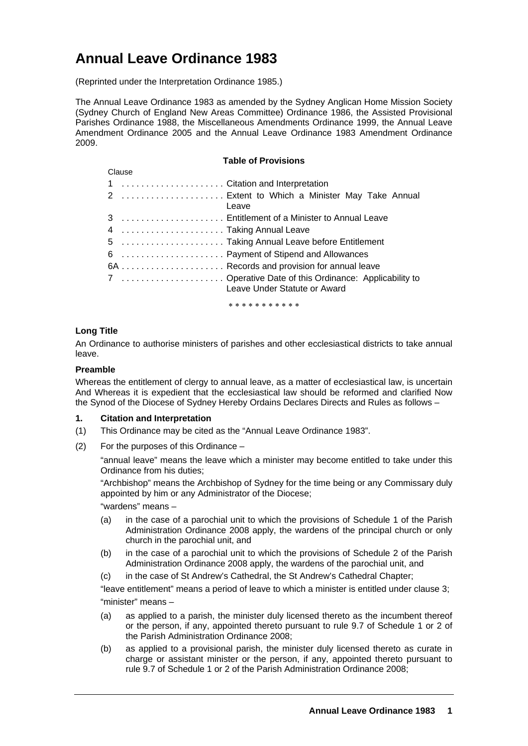# **Annual Leave Ordinance 1983**

(Reprinted under the Interpretation Ordinance 1985.)

The Annual Leave Ordinance 1983 as amended by the Sydney Anglican Home Mission Society (Sydney Church of England New Areas Committee) Ordinance 1986, the Assisted Provisional Parishes Ordinance 1988, the Miscellaneous Amendments Ordinance 1999, the Annual Leave Amendment Ordinance 2005 and the Annual Leave Ordinance 1983 Amendment Ordinance 2009.

|        | <b>Table of Provisions</b>                                                            |  |  |
|--------|---------------------------------------------------------------------------------------|--|--|
| Clause |                                                                                       |  |  |
|        | 1 Citation and Interpretation                                                         |  |  |
|        | 2  Extent to Which a Minister May Take Annual<br>Leave                                |  |  |
|        | 3  Entitlement of a Minister to Annual Leave                                          |  |  |
|        | 4 Taking Annual Leave                                                                 |  |  |
|        | 5 Taking Annual Leave before Entitlement                                              |  |  |
|        | 6  Payment of Stipend and Allowances                                                  |  |  |
|        | 6A  Records and provision for annual leave                                            |  |  |
|        | 7  Operative Date of this Ordinance: Applicability to<br>Leave Under Statute or Award |  |  |

∗ ∗ ∗ ∗ ∗ ∗ ∗ ∗ ∗ ∗ ∗

## **Long Title**

An Ordinance to authorise ministers of parishes and other ecclesiastical districts to take annual leave.

## **Preamble**

Whereas the entitlement of clergy to annual leave, as a matter of ecclesiastical law, is uncertain And Whereas it is expedient that the ecclesiastical law should be reformed and clarified Now the Synod of the Diocese of Sydney Hereby Ordains Declares Directs and Rules as follows –

## **1. Citation and Interpretation**

- (1) This Ordinance may be cited as the "Annual Leave Ordinance 1983".
- (2) For the purposes of this Ordinance –

"annual leave" means the leave which a minister may become entitled to take under this Ordinance from his duties;

"Archbishop" means the Archbishop of Sydney for the time being or any Commissary duly appointed by him or any Administrator of the Diocese;

"wardens" means –

- (a) in the case of a parochial unit to which the provisions of Schedule 1 of the Parish Administration Ordinance 2008 apply, the wardens of the principal church or only church in the parochial unit, and
- (b) in the case of a parochial unit to which the provisions of Schedule 2 of the Parish Administration Ordinance 2008 apply, the wardens of the parochial unit, and
- (c) in the case of St Andrew's Cathedral, the St Andrew's Cathedral Chapter;

"leave entitlement" means a period of leave to which a minister is entitled under clause 3; "minister" means –

- (a) as applied to a parish, the minister duly licensed thereto as the incumbent thereof or the person, if any, appointed thereto pursuant to rule 9.7 of Schedule 1 or 2 of the Parish Administration Ordinance 2008;
- (b) as applied to a provisional parish, the minister duly licensed thereto as curate in charge or assistant minister or the person, if any, appointed thereto pursuant to rule 9.7 of Schedule 1 or 2 of the Parish Administration Ordinance 2008;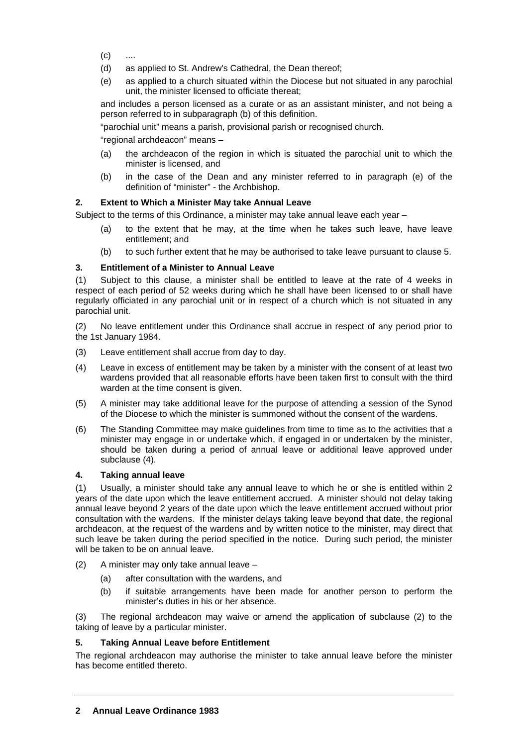- $(c)$  ....
- (d) as applied to St. Andrew's Cathedral, the Dean thereof;
- (e) as applied to a church situated within the Diocese but not situated in any parochial unit, the minister licensed to officiate thereat;

and includes a person licensed as a curate or as an assistant minister, and not being a person referred to in subparagraph (b) of this definition.

"parochial unit" means a parish, provisional parish or recognised church.

"regional archdeacon" means –

- (a) the archdeacon of the region in which is situated the parochial unit to which the minister is licensed, and
- (b) in the case of the Dean and any minister referred to in paragraph (e) of the definition of "minister" - the Archbishop.

# **2. Extent to Which a Minister May take Annual Leave**

Subject to the terms of this Ordinance, a minister may take annual leave each year –

- (a) to the extent that he may, at the time when he takes such leave, have leave entitlement; and
- (b) to such further extent that he may be authorised to take leave pursuant to clause 5.

# **3. Entitlement of a Minister to Annual Leave**

(1) Subject to this clause, a minister shall be entitled to leave at the rate of 4 weeks in respect of each period of 52 weeks during which he shall have been licensed to or shall have regularly officiated in any parochial unit or in respect of a church which is not situated in any parochial unit.

(2) No leave entitlement under this Ordinance shall accrue in respect of any period prior to the 1st January 1984.

- (3) Leave entitlement shall accrue from day to day.
- (4) Leave in excess of entitlement may be taken by a minister with the consent of at least two wardens provided that all reasonable efforts have been taken first to consult with the third warden at the time consent is given.
- (5) A minister may take additional leave for the purpose of attending a session of the Synod of the Diocese to which the minister is summoned without the consent of the wardens.
- (6) The Standing Committee may make guidelines from time to time as to the activities that a minister may engage in or undertake which, if engaged in or undertaken by the minister, should be taken during a period of annual leave or additional leave approved under subclause (4).

## **4. Taking annual leave**

(1) Usually, a minister should take any annual leave to which he or she is entitled within 2 years of the date upon which the leave entitlement accrued. A minister should not delay taking annual leave beyond 2 years of the date upon which the leave entitlement accrued without prior consultation with the wardens. If the minister delays taking leave beyond that date, the regional archdeacon, at the request of the wardens and by written notice to the minister, may direct that such leave be taken during the period specified in the notice. During such period, the minister will be taken to be on annual leave.

- (2) A minister may only take annual leave
	- (a) after consultation with the wardens, and
	- (b) if suitable arrangements have been made for another person to perform the minister's duties in his or her absence.

(3) The regional archdeacon may waive or amend the application of subclause (2) to the taking of leave by a particular minister.

## **5. Taking Annual Leave before Entitlement**

The regional archdeacon may authorise the minister to take annual leave before the minister has become entitled thereto.